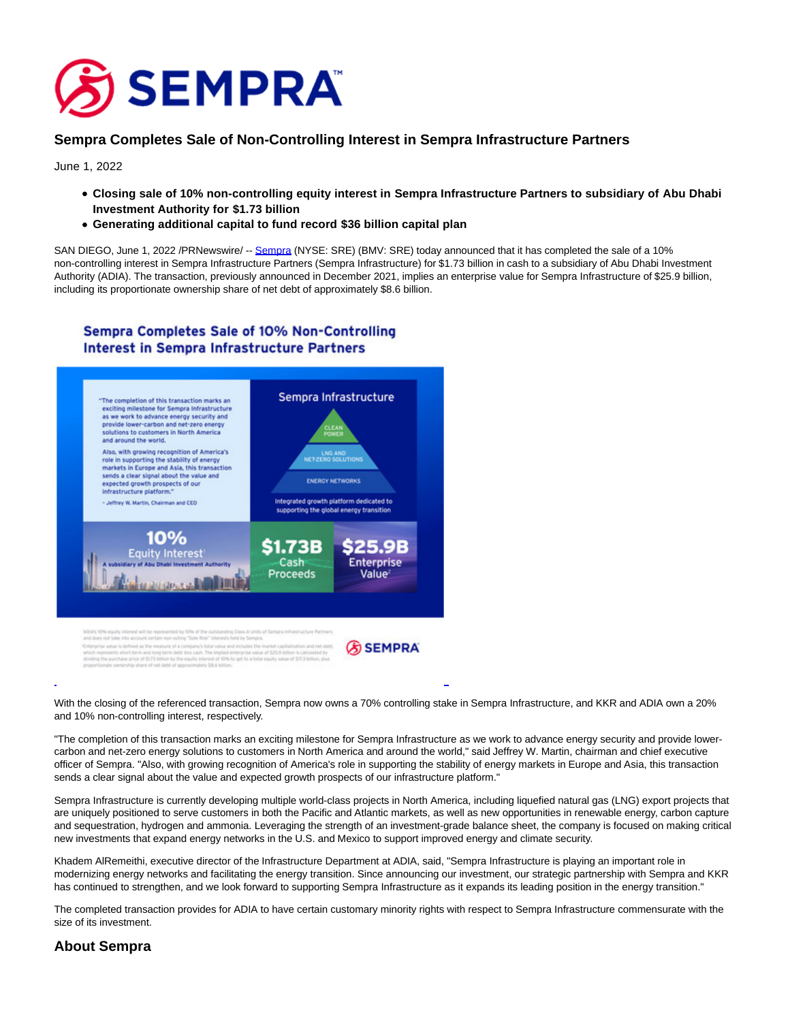

## **Sempra Completes Sale of Non-Controlling Interest in Sempra Infrastructure Partners**

June 1, 2022

- **Closing sale of 10% non-controlling equity interest in Sempra Infrastructure Partners to subsidiary of Abu Dhabi Investment Authority for \$1.73 billion**
- **Generating additional capital to fund record \$36 billion capital plan**

SAN DIEGO, June 1, 2022 /PRNewswire/ -- [Sempra \(](https://c212.net/c/link/?t=0&l=en&o=3554663-1&h=809848841&u=http%3A%2F%2Fwww.sempra.com%2F&a=Sempra)NYSE: SRE) (BMV: SRE) today announced that it has completed the sale of a 10% non-controlling interest in Sempra Infrastructure Partners (Sempra Infrastructure) for \$1.73 billion in cash to a subsidiary of Abu Dhabi Investment Authority (ADIA). The transaction, previously announced in December 2021, implies an enterprise value for Sempra Infrastructure of \$25.9 billion, including its proportionate ownership share of net debt of approximately \$8.6 billion.

## **Sempra Completes Sale of 10% Non-Controlling Interest in Sempra Infrastructure Partners**



With the closing of the referenced transaction, Sempra now owns a 70% controlling stake in Sempra Infrastructure, and KKR and ADIA own a 20% and 10% non-controlling interest, respectively.

L

"The completion of this transaction marks an exciting milestone for Sempra Infrastructure as we work to advance energy security and provide lowercarbon and net-zero energy solutions to customers in North America and around the world," said Jeffrey W. Martin, chairman and chief executive officer of Sempra. "Also, with growing recognition of America's role in supporting the stability of energy markets in Europe and Asia, this transaction sends a clear signal about the value and expected growth prospects of our infrastructure platform."

Sempra Infrastructure is currently developing multiple world-class projects in North America, including liquefied natural gas (LNG) export projects that are uniquely positioned to serve customers in both the Pacific and Atlantic markets, as well as new opportunities in renewable energy, carbon capture and sequestration, hydrogen and ammonia. Leveraging the strength of an investment-grade balance sheet, the company is focused on making critical new investments that expand energy networks in the U.S. and Mexico to support improved energy and climate security.

Khadem AlRemeithi, executive director of the Infrastructure Department at ADIA, said, "Sempra Infrastructure is playing an important role in modernizing energy networks and facilitating the energy transition. Since announcing our investment, our strategic partnership with Sempra and KKR has continued to strengthen, and we look forward to supporting Sempra Infrastructure as it expands its leading position in the energy transition."

The completed transaction provides for ADIA to have certain customary minority rights with respect to Sempra Infrastructure commensurate with the size of its investment.

## **About Sempra**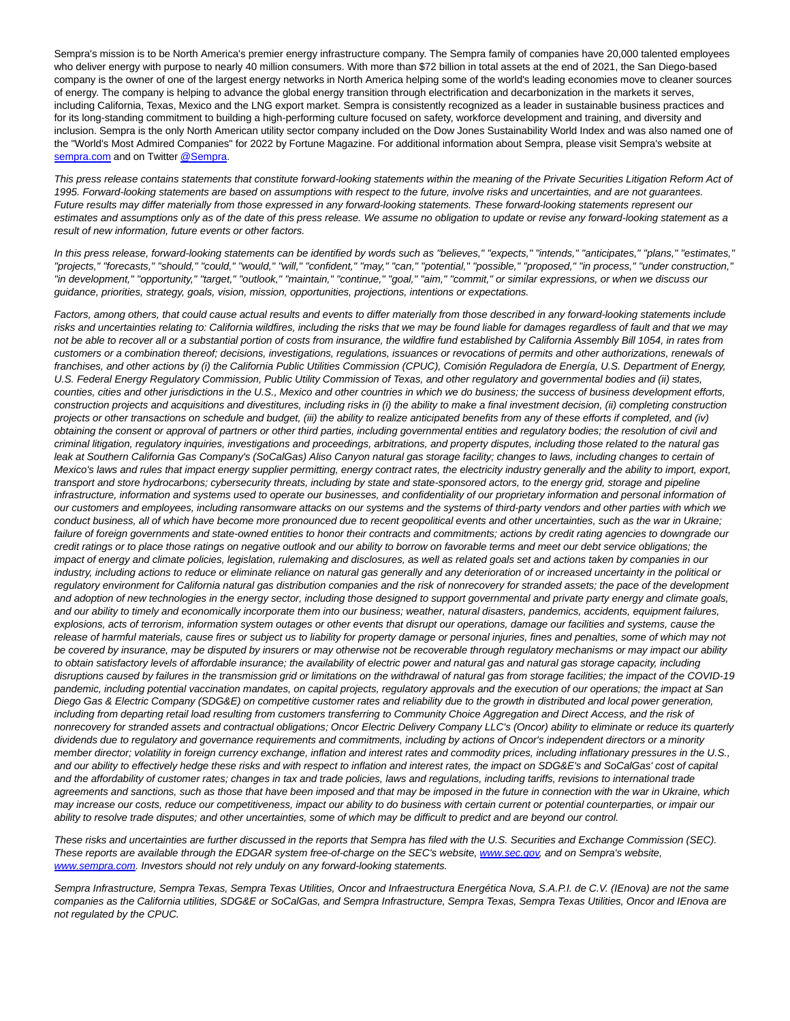Sempra's mission is to be North America's premier energy infrastructure company. The Sempra family of companies have 20,000 talented employees who deliver energy with purpose to nearly 40 million consumers. With more than \$72 billion in total assets at the end of 2021, the San Diego-based company is the owner of one of the largest energy networks in North America helping some of the world's leading economies move to cleaner sources of energy. The company is helping to advance the global energy transition through electrification and decarbonization in the markets it serves, including California, Texas, Mexico and the LNG export market. Sempra is consistently recognized as a leader in sustainable business practices and for its long-standing commitment to building a high-performing culture focused on safety, workforce development and training, and diversity and inclusion. Sempra is the only North American utility sector company included on the Dow Jones Sustainability World Index and was also named one of the "World's Most Admired Companies" for 2022 by Fortune Magazine. For additional information about Sempra, please visit Sempra's website at [sempra.com a](https://c212.net/c/link/?t=0&l=en&o=3554663-1&h=671126137&u=http%3A%2F%2Fwww.sempra.com%2F&a=sempra.com)nd on Twitter [@Sempra.](https://c212.net/c/link/?t=0&l=en&o=3554663-1&h=1112125952&u=http%3A%2F%2Fwww.twitter.com%2Fsempra&a=%40Sempra)

This press release contains statements that constitute forward-looking statements within the meaning of the Private Securities Litigation Reform Act of 1995. Forward-looking statements are based on assumptions with respect to the future, involve risks and uncertainties, and are not guarantees. Future results may differ materially from those expressed in any forward-looking statements. These forward-looking statements represent our estimates and assumptions only as of the date of this press release. We assume no obligation to update or revise any forward-looking statement as a result of new information, future events or other factors.

In this press release, forward-looking statements can be identified by words such as "believes," "expects," "intends," "anticipates," "plans," "estimates," "projects," "forecasts," "should," "could," "would," "will," "confident," "may," "can," "potential," "possible," "proposed," "in process," "under construction," "in development," "opportunity," "target," "outlook," "maintain," "continue," "goal," "aim," "commit," or similar expressions, or when we discuss our guidance, priorities, strategy, goals, vision, mission, opportunities, projections, intentions or expectations.

Factors, among others, that could cause actual results and events to differ materially from those described in any forward-looking statements include risks and uncertainties relating to: California wildfires, including the risks that we may be found liable for damages regardless of fault and that we may not be able to recover all or a substantial portion of costs from insurance, the wildfire fund established by California Assembly Bill 1054, in rates from customers or a combination thereof; decisions, investigations, regulations, issuances or revocations of permits and other authorizations, renewals of franchises, and other actions by (i) the California Public Utilities Commission (CPUC), Comisión Reguladora de Energía, U.S. Department of Energy, U.S. Federal Energy Regulatory Commission, Public Utility Commission of Texas, and other regulatory and governmental bodies and (ii) states, counties, cities and other jurisdictions in the U.S., Mexico and other countries in which we do business; the success of business development efforts, construction projects and acquisitions and divestitures, including risks in (i) the ability to make a final investment decision, (ii) completing construction projects or other transactions on schedule and budget, (iii) the ability to realize anticipated benefits from any of these efforts if completed, and (iv) obtaining the consent or approval of partners or other third parties, including governmental entities and regulatory bodies; the resolution of civil and criminal litigation, regulatory inquiries, investigations and proceedings, arbitrations, and property disputes, including those related to the natural gas leak at Southern California Gas Company's (SoCalGas) Aliso Canyon natural gas storage facility; changes to laws, including changes to certain of Mexico's laws and rules that impact energy supplier permitting, energy contract rates, the electricity industry generally and the ability to import, export, transport and store hydrocarbons; cybersecurity threats, including by state and state-sponsored actors, to the energy grid, storage and pipeline infrastructure, information and systems used to operate our businesses, and confidentiality of our proprietary information and personal information of our customers and employees, including ransomware attacks on our systems and the systems of third-party vendors and other parties with which we conduct business, all of which have become more pronounced due to recent geopolitical events and other uncertainties, such as the war in Ukraine; failure of foreign governments and state-owned entities to honor their contracts and commitments; actions by credit rating agencies to downgrade our credit ratings or to place those ratings on negative outlook and our ability to borrow on favorable terms and meet our debt service obligations; the impact of energy and climate policies, legislation, rulemaking and disclosures, as well as related goals set and actions taken by companies in our industry, including actions to reduce or eliminate reliance on natural gas generally and any deterioration of or increased uncertainty in the political or regulatory environment for California natural gas distribution companies and the risk of nonrecovery for stranded assets; the pace of the development and adoption of new technologies in the energy sector, including those designed to support governmental and private party energy and climate goals, and our ability to timely and economically incorporate them into our business; weather, natural disasters, pandemics, accidents, equipment failures, explosions, acts of terrorism, information system outages or other events that disrupt our operations, damage our facilities and systems, cause the release of harmful materials, cause fires or subject us to liability for property damage or personal injuries, fines and penalties, some of which may not be covered by insurance, may be disputed by insurers or may otherwise not be recoverable through regulatory mechanisms or may impact our ability to obtain satisfactory levels of affordable insurance; the availability of electric power and natural gas and natural gas storage capacity, including disruptions caused by failures in the transmission grid or limitations on the withdrawal of natural gas from storage facilities; the impact of the COVID-19 pandemic, including potential vaccination mandates, on capital projects, regulatory approvals and the execution of our operations; the impact at San Diego Gas & Electric Company (SDG&E) on competitive customer rates and reliability due to the growth in distributed and local power generation, including from departing retail load resulting from customers transferring to Community Choice Aggregation and Direct Access, and the risk of nonrecovery for stranded assets and contractual obligations; Oncor Electric Delivery Company LLC's (Oncor) ability to eliminate or reduce its quarterly dividends due to regulatory and governance requirements and commitments, including by actions of Oncor's independent directors or a minority member director; volatility in foreign currency exchange, inflation and interest rates and commodity prices, including inflationary pressures in the U.S., and our ability to effectively hedge these risks and with respect to inflation and interest rates, the impact on SDG&E's and SoCalGas' cost of capital and the affordability of customer rates; changes in tax and trade policies, laws and regulations, including tariffs, revisions to international trade agreements and sanctions, such as those that have been imposed and that may be imposed in the future in connection with the war in Ukraine, which may increase our costs, reduce our competitiveness, impact our ability to do business with certain current or potential counterparties, or impair our ability to resolve trade disputes; and other uncertainties, some of which may be difficult to predict and are beyond our control.

These risks and uncertainties are further discussed in the reports that Sempra has filed with the U.S. Securities and Exchange Commission (SEC). These reports are available through the EDGAR system free-of-charge on the SEC's website, [www.sec.gov,](http://www.sec.gov/) and on Sempra's website, [www.sempra.com.](http://www.sempra.com/) Investors should not rely unduly on any forward-looking statements.

Sempra Infrastructure, Sempra Texas, Sempra Texas Utilities, Oncor and Infraestructura Energética Nova, S.A.P.I. de C.V. (IEnova) are not the same companies as the California utilities, SDG&E or SoCalGas, and Sempra Infrastructure, Sempra Texas, Sempra Texas Utilities, Oncor and IEnova are not regulated by the CPUC.